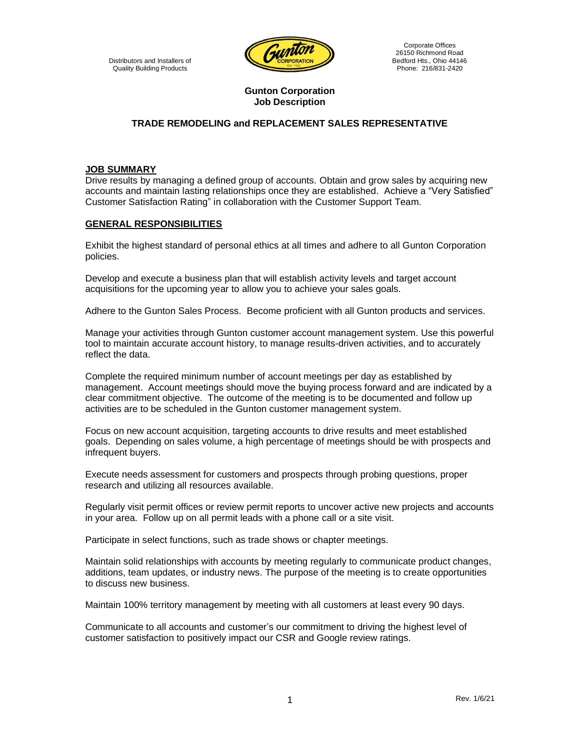

Corporate Offices 26150 Richmond Road Bedford Hts., Ohio 44146 Phone: 216/831-2420

### **Gunton Corporation Job Description**

# **TRADE REMODELING and REPLACEMENT SALES REPRESENTATIVE**

### **JOB SUMMARY**

Drive results by managing a defined group of accounts. Obtain and grow sales by acquiring new accounts and maintain lasting relationships once they are established. Achieve a "Very Satisfied" Customer Satisfaction Rating" in collaboration with the Customer Support Team.

#### **GENERAL RESPONSIBILITIES**

Exhibit the highest standard of personal ethics at all times and adhere to all Gunton Corporation policies.

Develop and execute a business plan that will establish activity levels and target account acquisitions for the upcoming year to allow you to achieve your sales goals.

Adhere to the Gunton Sales Process. Become proficient with all Gunton products and services.

Manage your activities through Gunton customer account management system. Use this powerful tool to maintain accurate account history, to manage results-driven activities, and to accurately reflect the data.

Complete the required minimum number of account meetings per day as established by management. Account meetings should move the buying process forward and are indicated by a clear commitment objective. The outcome of the meeting is to be documented and follow up activities are to be scheduled in the Gunton customer management system.

Focus on new account acquisition, targeting accounts to drive results and meet established goals. Depending on sales volume, a high percentage of meetings should be with prospects and infrequent buyers.

Execute needs assessment for customers and prospects through probing questions, proper research and utilizing all resources available.

Regularly visit permit offices or review permit reports to uncover active new projects and accounts in your area. Follow up on all permit leads with a phone call or a site visit.

Participate in select functions, such as trade shows or chapter meetings.

Maintain solid relationships with accounts by meeting regularly to communicate product changes, additions, team updates, or industry news. The purpose of the meeting is to create opportunities to discuss new business.

Maintain 100% territory management by meeting with all customers at least every 90 days.

Communicate to all accounts and customer's our commitment to driving the highest level of customer satisfaction to positively impact our CSR and Google review ratings.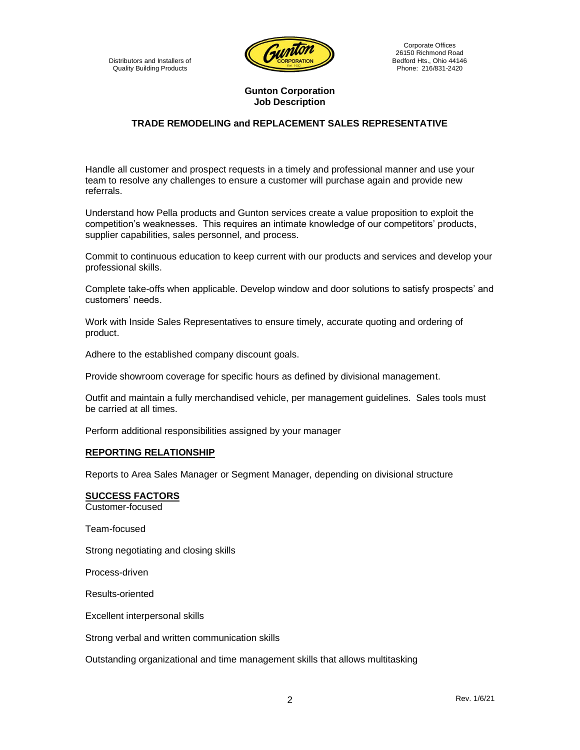

Corporate Offices 26150 Richmond Road Bedford Hts., Ohio 44146 Phone: 216/831-2420

### **Gunton Corporation Job Description**

## **TRADE REMODELING and REPLACEMENT SALES REPRESENTATIVE**

Handle all customer and prospect requests in a timely and professional manner and use your team to resolve any challenges to ensure a customer will purchase again and provide new referrals.

Understand how Pella products and Gunton services create a value proposition to exploit the competition's weaknesses. This requires an intimate knowledge of our competitors' products, supplier capabilities, sales personnel, and process.

Commit to continuous education to keep current with our products and services and develop your professional skills.

Complete take-offs when applicable. Develop window and door solutions to satisfy prospects' and customers' needs.

Work with Inside Sales Representatives to ensure timely, accurate quoting and ordering of product.

Adhere to the established company discount goals.

Provide showroom coverage for specific hours as defined by divisional management.

Outfit and maintain a fully merchandised vehicle, per management guidelines. Sales tools must be carried at all times.

Perform additional responsibilities assigned by your manager

### **REPORTING RELATIONSHIP**

Reports to Area Sales Manager or Segment Manager, depending on divisional structure

### **SUCCESS FACTORS**

Customer-focused

Team-focused

Strong negotiating and closing skills

Process-driven

Results-oriented

Excellent interpersonal skills

Strong verbal and written communication skills

Outstanding organizational and time management skills that allows multitasking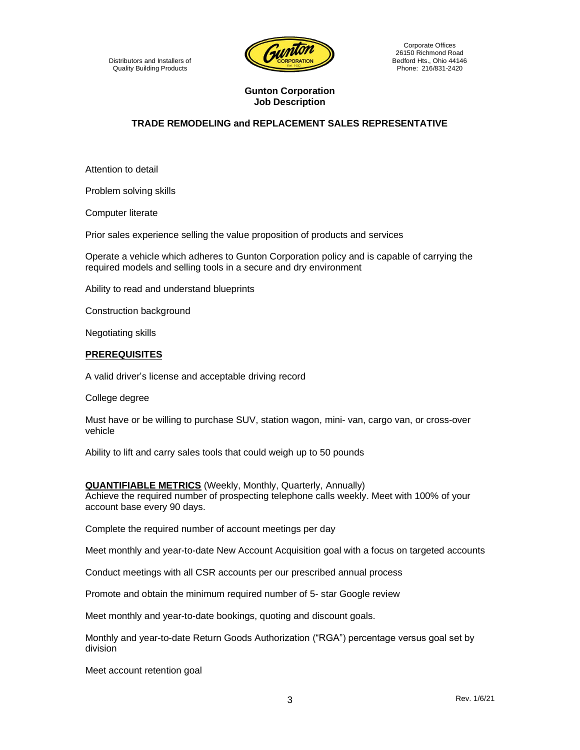

Corporate Offices 26150 Richmond Road Bedford Hts., Ohio 44146 Phone: 216/831-2420

### **Gunton Corporation Job Description**

## **TRADE REMODELING and REPLACEMENT SALES REPRESENTATIVE**

Attention to detail

Problem solving skills

Computer literate

Prior sales experience selling the value proposition of products and services

Operate a vehicle which adheres to Gunton Corporation policy and is capable of carrying the required models and selling tools in a secure and dry environment

Ability to read and understand blueprints

Construction background

Negotiating skills

#### **PREREQUISITES**

A valid driver's license and acceptable driving record

College degree

Must have or be willing to purchase SUV, station wagon, mini- van, cargo van, or cross-over vehicle

Ability to lift and carry sales tools that could weigh up to 50 pounds

**QUANTIFIABLE METRICS** (Weekly, Monthly, Quarterly, Annually) Achieve the required number of prospecting telephone calls weekly. Meet with 100% of your account base every 90 days.

Complete the required number of account meetings per day

Meet monthly and year-to-date New Account Acquisition goal with a focus on targeted accounts

Conduct meetings with all CSR accounts per our prescribed annual process

Promote and obtain the minimum required number of 5- star Google review

Meet monthly and year-to-date bookings, quoting and discount goals.

Monthly and year-to-date Return Goods Authorization ("RGA") percentage versus goal set by division

Meet account retention goal